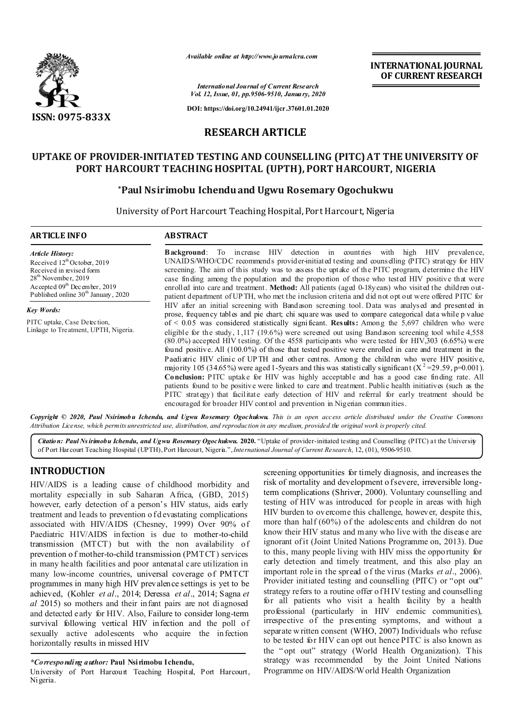

*Available online at http://www.journalcra.com*

**INTERNATIONAL JOURNAL OF CURRENT RESEARCH**

*International Journal of Current Research Vol. 12, Issue, 01, pp.9506-9510, January, 2020*

**DOI: https://doi.org/10.24941/ijcr.37601.01.2020**

### **RESEARCH ARTICLE**

# **UPTAKE OF PROVIDER-INITIATED TESTING AND COUNSELLING (PITC) AT THE UNIVERSITY OF PORT HARCOURT TEACHING HOSPITAL (UPTH), PORT HARCOURT, NIGERIA**

#### **\*Paul Nsirimobu Ichenduand Ugwu Rosemary Ogochukwu**

University of Port Harcourt Teaching Hospital, Port Harcourt, Nigeria

| <b>ARTICLE INFO</b>                                                                                                                                                                                                              | <b>ABSTRACT</b><br><b>Background:</b> To increase HIV detection in countries with high HIV prevalence,<br>UNAID S/WHO/CDC recommends provider-initiated testing and counselling (PITC) strategy for HIV<br>screening. The aim of this study was to assess the uptake of the PITC program, determine the HIV<br>case finding among the population and the proportion of those who tested HIV positive that were<br>enrolled into care and treatment. Method: All patients (aged 0-18years) who visited the children out-<br>patient department of UPTH, who met the inclusion criteria and did not opt out were offered PITC for                                                                                                                                                                                                                                                                                                                                                                                                                                                                                                                                                                                                                         |  |  |
|----------------------------------------------------------------------------------------------------------------------------------------------------------------------------------------------------------------------------------|---------------------------------------------------------------------------------------------------------------------------------------------------------------------------------------------------------------------------------------------------------------------------------------------------------------------------------------------------------------------------------------------------------------------------------------------------------------------------------------------------------------------------------------------------------------------------------------------------------------------------------------------------------------------------------------------------------------------------------------------------------------------------------------------------------------------------------------------------------------------------------------------------------------------------------------------------------------------------------------------------------------------------------------------------------------------------------------------------------------------------------------------------------------------------------------------------------------------------------------------------------|--|--|
| <b>Article History:</b><br>Received 12 <sup>th</sup> October, 2019<br>Received in revised form<br>28 <sup>th</sup> November, 2019<br>Accepted 09 <sup>th</sup> December, 2019<br>Published online 30 <sup>th</sup> January, 2020 |                                                                                                                                                                                                                                                                                                                                                                                                                                                                                                                                                                                                                                                                                                                                                                                                                                                                                                                                                                                                                                                                                                                                                                                                                                                         |  |  |
| Key Words:<br>PITC uptake, Case Detection,<br>Linkage to Treatment, UPTH, Nigeria.                                                                                                                                               | HIV after an initial screening with Bandason screening tool. Data was analysed and presented in<br>prose, frequency tables and pie chart; chi square was used to compare categorical data while p value<br>of $\leq 0.05$ was considered statistically significant. <b>Results:</b> Among the 5,697 children who were<br>eligible for the study, $1,117$ (19.6%) were screened out using Bandason screening tool while 4,558<br>(80.0%) accepted HIV testing. Of the 4558 participants who were tested for HIV,303 (6.65%) were<br>found positive. All (100.0%) of those that tested positive were enrolled in care and treatment in the<br>Paediatric HIV clinic of UPTH and other centres. Among the children who were HIV positive,<br>majority 105 (34.65%) were aged 1-5 years and this was statistically significant ( $X^2$ =29.59, p=0.001).<br><b>Conclusion:</b> PITC uptake for HIV was highly acceptable and has a good case finding rate. All<br>patients found to be positive were linked to care and treatment. Public health initiatives (such as the<br>PITC strategy) that facilitate early detection of HIV and referral for early treatment should be<br>encouraged for broader HIV control and prevention in Nigerian communities. |  |  |

2020, Paul Ns<mark>irimobu Ichendu, and Ugwu Rosemary Ogochukwu.</mark> This is an open access article distributed under the Attribution License, which permits unrestricted use, distribution, and reproduction in any medium, provided the original work is properly cited.

*Citation: Paul Ns irimobu Ichendu, and Ugwu Rosemary Ogochukwu***. 2020.** "Uptake of provider-initiated testing and Counselling (PITC) at the University of Port Harcourt Teaching Hospital (UPTH), Port Harcourt, Nigeria.",*International Journal of Current Research*, 12, (01), 9506-9510.

#### **INTRODUCTION**

HIV/AIDS is a leading cause of childhood morbidity and mortality especially in sub Saharan Africa, (GBD, 2015) however, early detection of a person's HIV status, aids early treatment and leads to prevention of d evastating complications associated with HIV/AIDS (Chesney, 1999) Over 90% of Paediatric HIV/AIDS infection is due to mother-to-child transmission (MTCT) but with the non availability of prevention o f mother-to-child transmission (PMTCT) services in many health facilities and poor antenatal care utilization in many low-income countries, universal coverage of PMTCT programmes in many high HIV prevalence settings is yet to be achieved, (Kohler *et al*., 2014; Deressa *et al*., 2014; Sagna *et al* 2015) so mothers and their infant pairs are not diagnosed and detected early for HIV. Also, Failure to consider long-term survival following vertical HIV infection and the poll of sexually active adolescents who acquire the infection horizontally results in missed HIV

screening opportunities for timely diagnosis, and increases the risk of mortality and development of severe, irreversible longterm complications (Shriver, 2000). Voluntary counselling and testing of HIV was introduced for people in areas with high HIV burden to overcome this challenge, however, despite this, more than half (60%) of the adolescents and children do not know their HIV status and m any who live with the disease are ignorant of it (Joint United Nations Programme on, 2013). Due to this, many people living with HIV miss the oppo rtunity for early detection and timely treatment, and this also play an important role in the spread o f the virus (Marks *et al*., 2006). Provider initiated testing and counselling (PITC) or "opt out" strategy refers to a routine offer of H IV testing and counselling for all patients who visit a health facility by a health professional (particularly in HIV endemic communities), irrespective of the presenting symptoms, and without a separate w ritten consent (WHO, 2007) Individuals who refuse to be tested for HIV can opt out hence PITC is also known as the " opt out" strategy (World Health Organization). This strategy was recommended by the Joint United Nations Programme on HIV/AIDS/World Health Organization

*<sup>\*</sup>Corresponding author:* **Paul Nsirimobu Ichendu,**

University of Port Harcourt Teaching Hospital, Port Harcourt, Nigeria.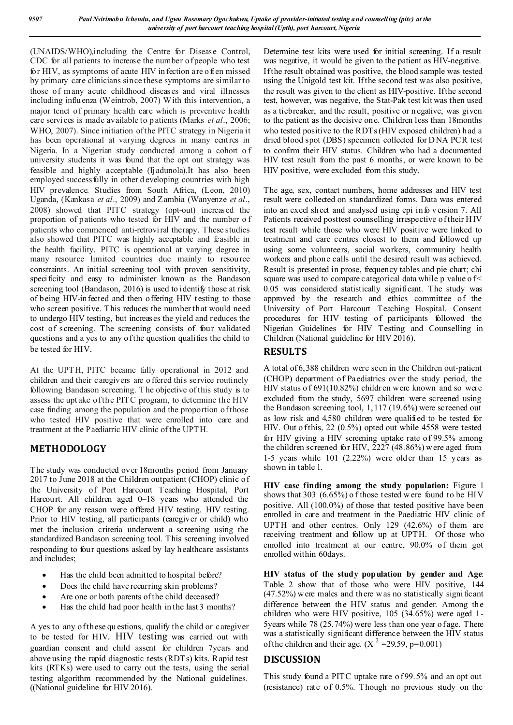(UNAIDS/WHO),including the Centre for Disease Control, CDC for all patients to increase the number of people who test for HIV, as symptoms of acute HIV in fection are o ften missed by primary care clinicians since these symptoms are similar to those of many acute childhood diseases and viral illnesses including influenza (Weintrob, 2007) With this intervention, a major tenet of primary health care which is preventive health care services is made available to p atients (Marks *et al*., 2006; WHO, 2007). Since initiation of the PITC strategy in Nigeria it has been operational at varying degrees in many centres in Nigeria. In a Nigerian study conducted among a cohort o f university students it was found that the opt out strategy was feasible and highly acceptable (Ij adunola).It has also been employed successfully in other d eveloping countries with high HIV prevalence. Studies from South Africa, (Leon, 2010) Uganda, (Kankasa *et al*., 2009) and Zambia (Wanyenze *et al*., 2008) showed that PITC strategy (opt-out) increased the proportion of patients who tested for HIV and the number o f patients who commenced anti-retroviral therapy. These studies also showed that PITC was highly acceptable and feasible in the health facility. PITC is operational at varying degree in many resource limited countries due mainly to resource constraints. An initial screening tool with proven sensitivity, specificity and easy to administer known as the Bandason screening tool (Bandason, 2016) is used to identify those at risk of being HIV-infected and then offering HIV testing to those who screen positive. This reduces the number that would need to undergo HIV testing, but increases the yield and reduces the cost of screening. The screening consists of four validated questions and a yes to any of the question qualifies the child to be tested for HIV.

At the UPTH, PITC became fully operational in 2012 and children and their caregivers are o ffered this service routinely following Bandason screening. T he objective of this study is to assess the upt ake of the PITC program, to determine the HIV case finding among the population and the proportion of those who tested HIV positive that were enrolled into care and treatment at the Paediatric HIV clinic of the UPTH.

# **METHODOLOGY**

The study was conducted over 18months period from January 2017 to June 2018 at the Children outpatient (CHOP) clinic of the University of Port Harcourt Teaching Hospital, Port Harcourt. All children aged 0–18 years who attended the CHOP for any reason were offered HIV testing. HIV testing. Prior to HIV testing, all participants (caregiver or child) who met the inclusion criteria underwent a screening using the standardized Bandason screening tool. This screening involved responding to four questions asked by lay h ealthcare assistants and includes;

- Has the child been admitted to hospital before?
- Does the child have recurring skin problems?
- Are one or both parents of the child deceased?
- Has the child had poor health in the last 3 months?

A yes to any of these qu estions, qualify the child or caregiver to be tested for HIV. HIV testing was carried out with guardian consent and child assent for children 7years and above using the rapid diagnostic tests (RDTs) kits. Rapid test kits (RTKs) were used to carry out the tests, using the serial testing algorithm recommended by the National guidelines. ((National guideline for HIV 2016).

Determine test kits were used for initial screening. If a result was negative, it would be given to the patient as HIV-negative. If the result obtained was positive, the blood sample was tested using the Unigold test kit. If the second test was also positive, the result was given to the client as HIV-positive. If the second test, however, was negative, the Stat-Pak test kit was then used as a tiebreaker, and the result, positive or n egative, was given to the patient as the decisive one. Children less than 18months who tested positive to the RDTs (HIV exposed children) had a dried blood spot (DBS) specimen collected for D NA PCR test to confirm their HIV status. Children who had a documented HIV test result from the past 6 months, or were known to be HIV positive, were excluded from this study.

The age, sex, contact numbers, home addresses and HIV test result were collected on standardized forms. Data was entered into an excel sheet and analysed using epi info v ersion 7. All Patients received posttest counselling irrespective of their H IV test result while those who were HIV positive were linked to treatment and care centres closest to them and followed up using some volunteers, social workers, community health workers and phone calls until the desired result was achieved. Result is presented in prose, frequency tables and pie chart; chi square was used to compare categorical data while p value of < 0.05 was considered statistically significant. The study was approved by the research and ethics committee of the University of Port Harcourt Teaching Hospital. Consent procedures for HIV testing of participants followed the Nigerian Guidelines for HIV Testing and Counselling in Children (National guideline for HIV 2016).

### **RESULTS**

A total of 6,388 children were seen in the Children out-patient (CHOP) department of Paediatrics over the study period, the HIV status o f 691(10.82%) children were known and so were excluded from the study, 5697 children were screened using the Bandason screening tool, 1,117 (19.6%) were screened out as low risk and 4,580 children were qualified to be tested for HIV. Out o f this,  $22(0.5\%)$  opted out while 4558 were tested for HIV giving a HIV screening uptake rate of 99.5% among the children screened for HIV, 2227 (48.86%) w ere aged from 1-5 years while 101 (2.22%) were older than 15 years as shown in table 1.

**HIV case finding among the study population:** Figure 1 shows that 303 (6.65%) o f those tested w ere found to be HIV positive. All (100.0%) of those that tested positive have been enrolled in care and treatment in the Paediatric HIV clinic of UPTH and other centres. Only 129 (42.6%) of them are receiving treatment and follow up at UPTH. Of those who enrolled into treatment at our centre, 90.0% of them got enrolled within 60days.

**HIV status of the study population by gender and Age**: Table 2 show that of those who were HIV positive, 144 (47.52%) w ere males and there w as no statistically signi ficant difference between the HIV status and gender. Among the children who were HIV positive, 105 (34.65%) were aged 1- 5years while 78 (25.74%) were less than one year of age. There was a statistically significant difference between the HIV status of the children and their age.  $(X^2 = 29.59, p=0.001)$ 

## **DISCUSSION**

This study found a PITC uptake rate of 99.5% and an opt out (resistance) rate of 0.5%. Though no previous study on the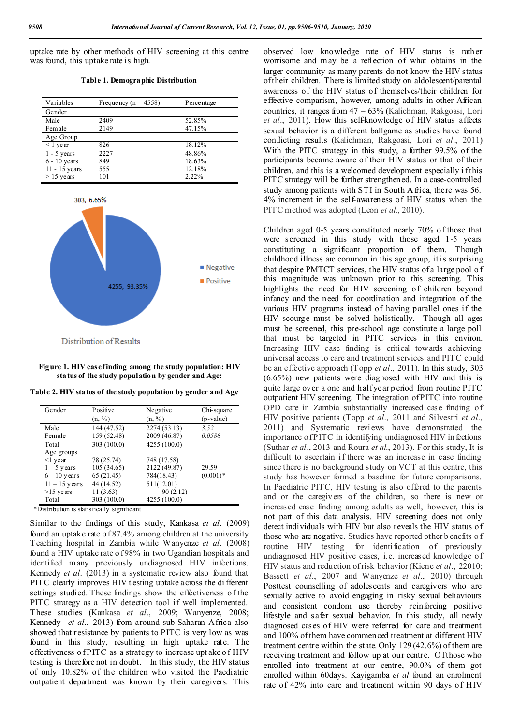uptake rate by other methods of HIV screening at this centre was found, this uptake rate is high.

**Table 1. Demographic Distribution**

| Variables           | Frequency ( $n = 4558$ ) | Percentage |
|---------------------|--------------------------|------------|
| Gender              |                          |            |
| Male                | 2409                     | 52.85%     |
| Female              | 2149                     | 47.15%     |
| Age Group           |                          |            |
| $\overline{1}$ year | 826                      | 18.12%     |
| $1 - 5$ years       | 2227                     | 48.86%     |
| $6 - 10$ years      | 849                      | 18.63%     |
| $11 - 15$ years     | 555                      | 12.18%     |
| $> 15$ years        | 101                      | $2.22\%$   |



**Figure 1. HIV case finding among the study population: HIV status of the study population by gender and Age:**

**Table 2. HIV status of the study population by gender and Age**

| Gender          | Positive    | Negative     | Chi-square  |
|-----------------|-------------|--------------|-------------|
|                 | (n, %)      | (n, %)       | $(p-value)$ |
| Male            | 144 (47.52) | 2274 (53.13) | 3.52        |
| Female          | 159 (52.48) | 2009 (46.87) | 0.0588      |
| Total           | 303 (100.0) | 4255 (100.0) |             |
| Age groups      |             |              |             |
| $\leq$ 1 year   | 78 (25.74)  | 748 (17.58)  |             |
| $1 - 5$ years   | 105 (34.65) | 2122 (49.87) | 29.59       |
| $6 - 10$ years  | 65 (21.45)  | 784(18.43)   | $(0.001)*$  |
| $11 - 15$ years | 44 (14.52)  | 511(12.01)   |             |
| $>15$ years     | 11(3.63)    | 90(2.12)     |             |
| Total           | 303 (100.0) | 4255 (100.0) |             |

\*Distribution is statistically significant

Similar to the findings of this study, Kankasa *et al*. (2009) found an uptake rate o f 87.4% among children at the university Teaching hospital in Zambia while Wanyenze *et al*. (2008) found a HIV uptake rate o f 98% in two Ugandian hospitals and identified many previously undiagnosed HIV infections. Kennedy *et al*. (2013) in a systematic review also found that PITC clearly improves HIV t esting uptake across the di fferent settings studied. These findings show the effectiveness of the PITC strategy as a HIV detection tool if well implemented. These studies (Kankasa *et al*., 2009; Wanyenze, 2008; Kennedy *et al.*, 2013) from around sub-Saharan Africa also showed that resistance by patients to PITC is very low as was found in this study, resulting in high uptake rate. The effectiveness of PITC as a strategy to increase upt ake of HIV testing is therefore not in doubt. In this study, the HIV status of only 10.82% of the children who visited the Paediatric outpatient department was known by their caregivers. This

observed low knowledge rate of HIV status is rather worrisome and may be a reflection of what obtains in the larger community as many parents do not know the HIV status of their children. There is limited study on aldolescent/parental awareness of the HIV status of themselves/their children for effective comparism, however, among adults in other African countries, it ranges from 47 – 63% (Kalichman, Rakgoasi, Lori *et al*., 2011). How this self-knowledge of HIV status affects sexual behavior is a different ballgame as studies have found conflicting results (Kalichman, Rakgoasi, Lori *et al*., 2011) With the PITC strategy in this study, a further 99.5% of the participants became aware of their HIV status or that of their children, and this is a welcomed development especially i fthis PITC strategy will be further strengthened. In a case-controlled study among patients with STI in South A frica, there was 56. 4% increment in the self-awareness of HIV status when the PITC method was adopted (Leon *et al*., 2010).

Children aged 0-5 years constituted nearly 70% of those that were screened in this study with those aged 1-5 years constituting a significant proportion of them. Though childhood illness are common in this age group, it is surprising that despite PMTCT services, the HIV status of a large pool o f this magnitude was unknown prior to this screening. This highlights the need for HIV screening of children beyond infancy and the need for coordination and integration of the various HIV programs instead of having parallel ones if the HIV scourge must be solved holistically. Though all ages must be screened, this pre-school age constitute a large poll that must be targeted in PITC services in this environ. Increasing HIV case finding is critical towards achieving universal access to care and treatment services and PITC could be an effective approach (Topp *et al*., 2011). In this study, 303 (6.65%) new patients were diagnosed with HIV and this is quite large over a one and half year p eriod from routine PITC outpatient HIV screening. The integration of PITC into routine OPD care in Zambia substantially increased case finding of HIV positive patients (Topp *et al*., 2011 and Silvestri *et al*., 2011) and Systematic reviews have demonstrated the importance of PITC in identifying undiagnosed HIV in fections (Suthar *et al*., 2013 and Roura *et al*., 2013). For this study, It is difficult to ascertain if there was an increase in case finding since there is no background study on VCT at this centre, this study has however formed a baseline for future comparisons. In Paediatric PITC, HIV testing is also offered to the parents and or the caregivers of the children, so there is new or increased case finding among adults as well, however, this is not part of this data analysis. HIV screening does not only detect individuals with HIV but also reveals the HIV status of those who are negative. Studies have reported other b enefits o f routine HIV testing for identification of previously undiagnosed HIV positive cases, i.e. increased knowledge of HIV status and reduction of risk behavior (Kiene *et al*., 22010; Bassett *et al*., 2007 and Wanyenze *et al*., 2010) through Posttest counselling of adolescents and caregivers who are sexually active to avoid engaging in risky sexual behaviours and consistent condom use thereby reinforcing positive lifestyle and safer sexual behavior. In this study, all newly diagnosed cases of HIV were referred for care and treatment and 100% of them have commenced treatment at different HIV treatment centre within the state. Only 129 (42.6%) of them are receiving treatment and follow up at our centre. Of those who enrolled into treatment at our centre, 90.0% of them got enrolled within 60days. Kayigamba *et al* found an enrolment rate of 42% into care and treatment within 90 days of HIV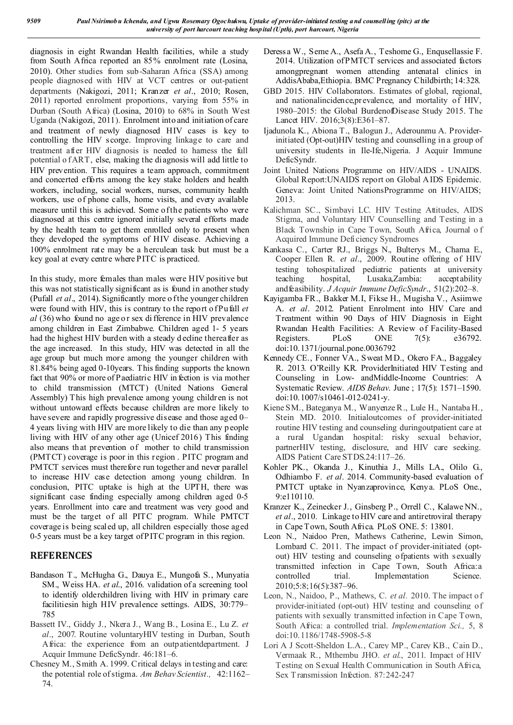diagnosis in eight Rwandan Health facilities, while a study from South Africa reported an 85% enrolment rate (Losina, 2010). Other studies from sub-Saharan Africa (SSA) among people diagnosed with HIV at VCT centres or out-patient departments (Nakigozi, 2011; Kranzer *et al*., 2010; Rosen, 2011) reported enrolment proportions, varying from 55% in Durban (South Africa) (Losina, 2010) to 68% in South West Uganda (Nakigozi, 2011). Enrolment into and initiation of care and treatment of newly diagnosed HIV cases is key to controlling the HIV scorge. Improving linkage to care and treatment after HIV diagnosis is needed to harness the full potential o f ART, else, making the di agnosis will add little to HIV prevention. This requires a team approach, commitment and concerted efforts among the key stake holders and health workers, including, social workers, nurses, community health workers, use of phone calls, home visits, and every available measure until this is achieved. Some of the patients who were diagnosed at this centre ignored initially several efforts made by the health team to get them enrolled only to present when they developed the symptoms of HIV disease. Achieving a 100% enrolment rate may be a herculean task but must be a key goal at every centre where PITC is practiced.

In this study, more females than males were HIV positive but this was not statistically significant as is found in another study (Pufall *et al*., 2014). Significantly more o f the younger children were found with HIV, this is contrary to the report of Pufall *et al* (36) who found no age or sex difference in HIV prevalence among children in East Zimbabwe. Children aged 1- 5 years had the highest HIV burden with a steady d ecline thereafter as the age increased. In this study, HIV was detected in all the age group but much more among the younger children with 81.84% being aged 0-10years. This finding supports the known fact that 90% or more of Paediatric HIV in fection is via mother to child transmission (MTCT) (United Nations General Assembly) This high prevalence among young children is not without untoward effects because children are more likely to have severe and rapidly progressive disease and those aged 0– 4 years living with HIV are more likely to die than any p eople living with HIV of any other age (Unicef 2016) This finding also means that prevention of mother to child transmission (PMTCT) coverage is poor in this region . PITC program and PMTCT services must therefore run together and never parallel to increase HIV case detection among young children. In conclusion, PITC uptake is high at the UPTH, there was significant case finding especially among children aged 0-5 years. Enrollment into care and treatment was very good and must be the target of all PITC program. While PMTCT coverage is being scaled up, all children especially those aged 0-5 years must be a key target of PITC program in this region.

## **REFERENCES**

- Bandason T., McHugha G., Dauya E., Mungofa S., Munyatia SM., Weiss HA. *et al*., 2016. validation of a screening tool to identify olderchildren living with HIV in primary care facilitiesin high HIV prevalence settings. AIDS, 30:779– 785
- Bassett IV., Giddy J., Nkera J., Wang B., Losina E., Lu Z. *et al*., 2007. Routine voluntaryHIV testing in Durban, South Africa: the experience from an outpatientdepartment. J Acquir Immune DeficSyndr. 46:181–6.
- Chesney M., Smith A. 1999. Critical delays in testing and care: the potential role of stigma. *Am Behav Scientist.,* 42:1162– 74.
- Deressa W., Seme A., Asefa A., Teshome G., Enqusellassie F. 2014. Utilization of PMTCT services and associated factors amongpregnant women attending antenatal clinics in AddisAbaba,Ethiopia. BMC Pregnancy Childbirth; 14:328.
- GBD 2015. HIV Collaborators. Estimates of global, regional, and nationalincidence,prevalence, and mortality of HIV, 1980–2015: the Global BurdenofDisease Study 2015. The Lancet HIV. 2016;3(8):E361–87.
- Ijadunola K., Abiona T., Balogun J., Aderounmu A. Providerinitiated (Opt-out)HIV testing and counselling in a group of university students in Ile-Ife,Nigeria. J Acquir Immune DeficSyndr.
- Joint United Nations Programme on HIV/AIDS UNAIDS. Global Report:UNAIDS report on Global AIDS Epidemic. Geneva: Joint United NationsProgramme on HIV/AIDS; 2013.
- Kalichman SC., Simbayi LC. HIV Testing Attitudes, AIDS Stigma, and Voluntary HIV Counselling and Testing in a Black Township in Cape Town, South Africa, Journal o f Acquired Immune Deficiency Syndromes
- Kankasa C., Carter RJ., Briggs N., Bulterys M., Chama E., Cooper Ellen R. *et al*., 2009. Routine offering of HIV testing tohospitalized pediatric patients at university teaching hospital, Lusaka,Zambia: acceptability andfeasibility. *J Acquir Immune DeficSyndr*., 51(2):202–8.
- Kayigamba FR., Bakker M.I, Fikse H., Mugisha V., Asiimwe A. *et al*. 2012. Patient Enrolment into HIV Care and Treatment within 90 Days of HIV Diagnosis in Eight Rwandan Health Facilities: A Review of Facility-Based Registers. PLoS ONE 7(5): e36792. doi:10.1371/journal.pone.0036792
- Kennedy CE., Fonner VA., Sweat M D., Okero FA., Baggaley R. 2013. O'Reilly KR. ProviderInitiated HIV Testing and Counseling in Low- andMiddle-Income Countries: A Systematic Review. *AIDS Behav*. June ; 17(5): 1571–1590. doi:10.1007/s10461-012-0241-y.
- Kiene SM., Bateganya M., Wanyenze R., Lule H., Nantaba H., Stein MD. 2010. Initialoutcomes of provider-initiated routine HIV testing and counseling duringoutpatient care at a rural Ugandan hospital: risky sexual behavior, partnerHIV testing, disclosure, and HIV care seeking. AIDS Patient Care STDS.24:117–26.
- Kohler PK., Okanda J., Kinuthia J., Mills LA., Olilo G., Odhiambo F. *et al*. 2014. Community-based evaluation of PMTCT uptake in Nyanzaprovince, Kenya. PLoS One., 9:e110110.
- Kranzer K., Zeinecker J., Ginsberg P., Orrell C., Kalawe NN., *et al*., 2010. Linkage to HIV care and antiretroviral therapy in Cape Town, South Africa. PLoS ONE. 5: 13801.
- Leon N., Naidoo Pren, Mathews Catherine, Lewin Simon, Lombard C. 2011. The impact of provider-initiated (optout) HIV testing and counseling ofpatients with sexually transmitted infection in Cape Town, South Africa:a controlled trial. Implementation Science. 2010;5:8;16(5):387–96.
- Leon, N., Naidoo, P., Mathews, C. *et al.* 2010. The impact o f provider-initiated (opt-out) HIV testing and counseling of patients with sexually transmitted infection in Cape Town, South Africa: a controlled trial. *Implementation Sci.,* 5, 8 doi:10.1186/1748-5908-5-8
- Lori A J Scott-Sheldon L.A., Carey MP., Carey KB., Cain D., Vermaak R., Mthembu JHO. *et al*., 2011. Impact of HIV Testing on Sexual Health Communication in South Africa, Sex T ransmission Infection. 87:242-247